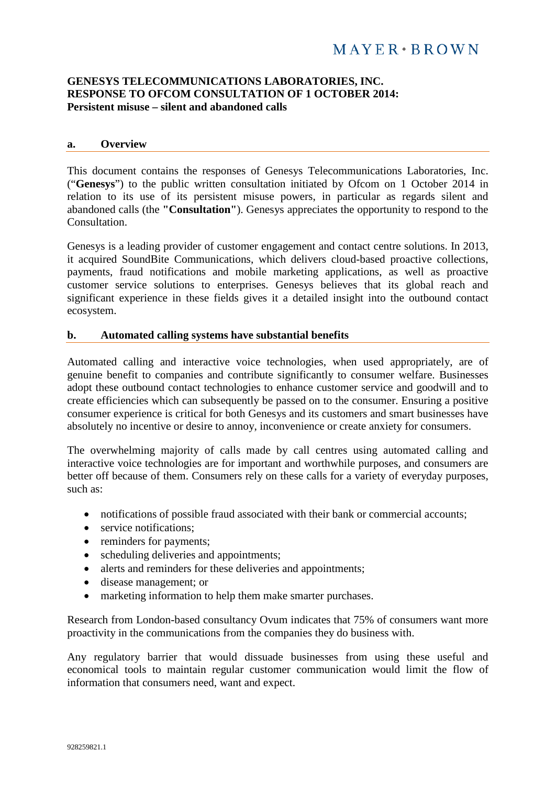### **GENESYS TELECOMMUNICATIONS LABORATORIES, INC. RESPONSE TO OFCOM CONSULTATION OF 1 OCTOBER 2014: Persistent misuse – silent and abandoned calls**

#### **a. Overview**

This document contains the responses of Genesys Telecommunications Laboratories, Inc. ("**Genesys**") to the public written consultation initiated by Ofcom on 1 October 2014 in relation to its use of its persistent misuse powers, in particular as regards silent and abandoned calls (the **"Consultation"**). Genesys appreciates the opportunity to respond to the Consultation.

Genesys is a leading provider of customer engagement and contact centre solutions. In 2013, it acquired SoundBite Communications, which delivers cloud-based proactive collections, payments, fraud notifications and mobile marketing applications, as well as proactive customer service solutions to enterprises. Genesys believes that its global reach and significant experience in these fields gives it a detailed insight into the outbound contact ecosystem.

#### **b. Automated calling systems have substantial benefits**

Automated calling and interactive voice technologies, when used appropriately, are of genuine benefit to companies and contribute significantly to consumer welfare. Businesses adopt these outbound contact technologies to enhance customer service and goodwill and to create efficiencies which can subsequently be passed on to the consumer. Ensuring a positive consumer experience is critical for both Genesys and its customers and smart businesses have absolutely no incentive or desire to annoy, inconvenience or create anxiety for consumers.

The overwhelming majority of calls made by call centres using automated calling and interactive voice technologies are for important and worthwhile purposes, and consumers are better off because of them. Consumers rely on these calls for a variety of everyday purposes, such as:

- notifications of possible fraud associated with their bank or commercial accounts;
- service notifications:
- reminders for payments;
- scheduling deliveries and appointments;
- alerts and reminders for these deliveries and appointments;
- disease management; or
- marketing information to help them make smarter purchases.

Research from London-based consultancy Ovum indicates that 75% of consumers want more proactivity in the communications from the companies they do business with.

Any regulatory barrier that would dissuade businesses from using these useful and economical tools to maintain regular customer communication would limit the flow of information that consumers need, want and expect.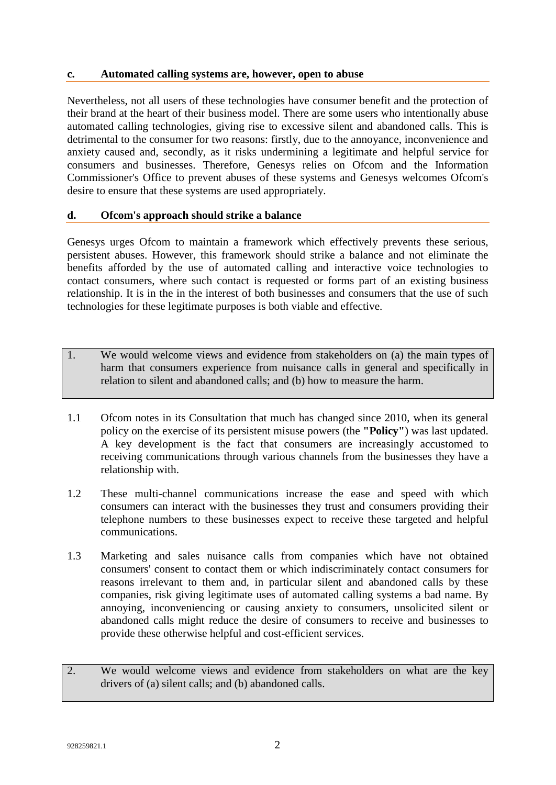### **c. Automated calling systems are, however, open to abuse**

Nevertheless, not all users of these technologies have consumer benefit and the protection of their brand at the heart of their business model. There are some users who intentionally abuse automated calling technologies, giving rise to excessive silent and abandoned calls. This is detrimental to the consumer for two reasons: firstly, due to the annoyance, inconvenience and anxiety caused and, secondly, as it risks undermining a legitimate and helpful service for consumers and businesses. Therefore, Genesys relies on Ofcom and the Information Commissioner's Office to prevent abuses of these systems and Genesys welcomes Ofcom's desire to ensure that these systems are used appropriately.

### **d. Ofcom's approach should strike a balance**

Genesys urges Ofcom to maintain a framework which effectively prevents these serious, persistent abuses. However, this framework should strike a balance and not eliminate the benefits afforded by the use of automated calling and interactive voice technologies to contact consumers, where such contact is requested or forms part of an existing business relationship. It is in the in the interest of both businesses and consumers that the use of such technologies for these legitimate purposes is both viable and effective.

- 1. We would welcome views and evidence from stakeholders on (a) the main types of harm that consumers experience from nuisance calls in general and specifically in relation to silent and abandoned calls; and (b) how to measure the harm.
- 1.1 Ofcom notes in its Consultation that much has changed since 2010, when its general policy on the exercise of its persistent misuse powers (the **"Policy"**) was last updated. A key development is the fact that consumers are increasingly accustomed to receiving communications through various channels from the businesses they have a relationship with.
- 1.2 These multi-channel communications increase the ease and speed with which consumers can interact with the businesses they trust and consumers providing their telephone numbers to these businesses expect to receive these targeted and helpful communications.
- 1.3 Marketing and sales nuisance calls from companies which have not obtained consumers' consent to contact them or which indiscriminately contact consumers for reasons irrelevant to them and, in particular silent and abandoned calls by these companies, risk giving legitimate uses of automated calling systems a bad name. By annoying, inconveniencing or causing anxiety to consumers, unsolicited silent or abandoned calls might reduce the desire of consumers to receive and businesses to provide these otherwise helpful and cost-efficient services.
- 2. We would welcome views and evidence from stakeholders on what are the key drivers of (a) silent calls; and (b) abandoned calls.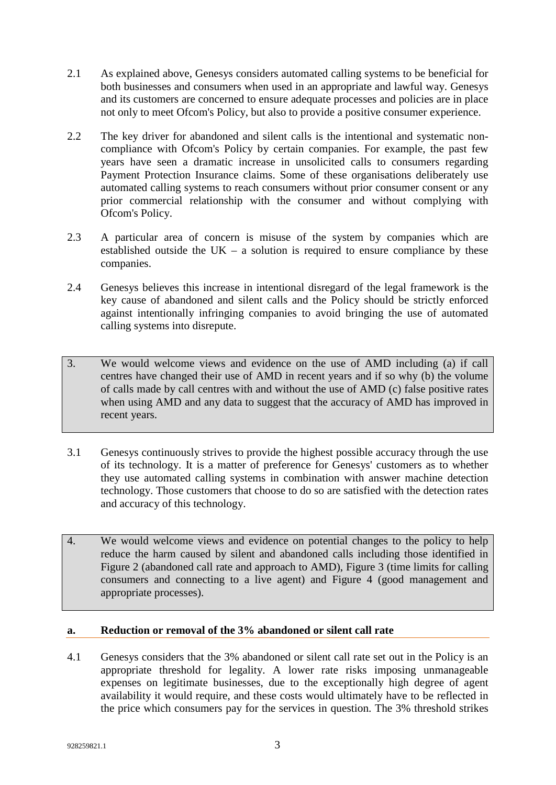- 2.1 As explained above, Genesys considers automated calling systems to be beneficial for both businesses and consumers when used in an appropriate and lawful way. Genesys and its customers are concerned to ensure adequate processes and policies are in place not only to meet Ofcom's Policy, but also to provide a positive consumer experience.
- 2.2 The key driver for abandoned and silent calls is the intentional and systematic noncompliance with Ofcom's Policy by certain companies. For example, the past few years have seen a dramatic increase in unsolicited calls to consumers regarding Payment Protection Insurance claims. Some of these organisations deliberately use automated calling systems to reach consumers without prior consumer consent or any prior commercial relationship with the consumer and without complying with Ofcom's Policy.
- 2.3 A particular area of concern is misuse of the system by companies which are established outside the  $UK - a$  solution is required to ensure compliance by these companies.
- 2.4 Genesys believes this increase in intentional disregard of the legal framework is the key cause of abandoned and silent calls and the Policy should be strictly enforced against intentionally infringing companies to avoid bringing the use of automated calling systems into disrepute.
- 3. We would welcome views and evidence on the use of AMD including (a) if call centres have changed their use of AMD in recent years and if so why (b) the volume of calls made by call centres with and without the use of AMD (c) false positive rates when using AMD and any data to suggest that the accuracy of AMD has improved in recent years.
- 3.1 Genesys continuously strives to provide the highest possible accuracy through the use of its technology. It is a matter of preference for Genesys' customers as to whether they use automated calling systems in combination with answer machine detection technology. Those customers that choose to do so are satisfied with the detection rates and accuracy of this technology.
- 4. We would welcome views and evidence on potential changes to the policy to help reduce the harm caused by silent and abandoned calls including those identified in Figure 2 (abandoned call rate and approach to AMD), Figure 3 (time limits for calling consumers and connecting to a live agent) and Figure 4 (good management and appropriate processes).

## **a. Reduction or removal of the 3% abandoned or silent call rate**

4.1 Genesys considers that the 3% abandoned or silent call rate set out in the Policy is an appropriate threshold for legality. A lower rate risks imposing unmanageable expenses on legitimate businesses, due to the exceptionally high degree of agent availability it would require, and these costs would ultimately have to be reflected in the price which consumers pay for the services in question. The 3% threshold strikes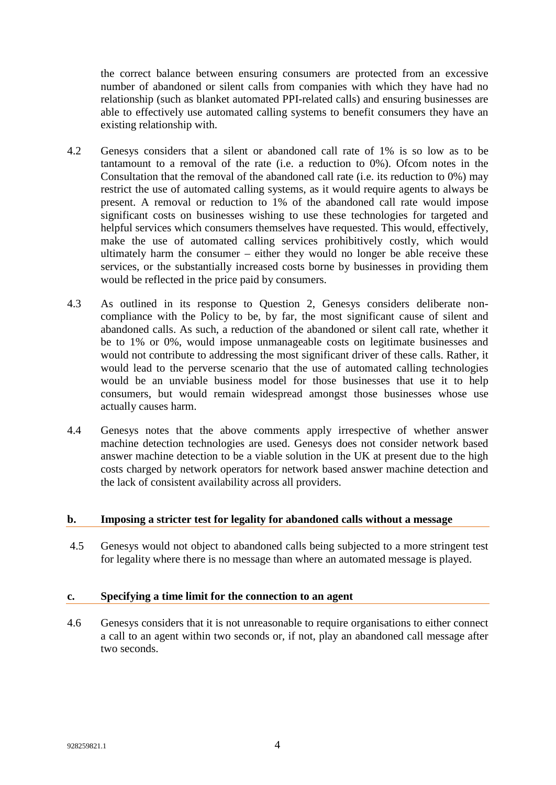the correct balance between ensuring consumers are protected from an excessive number of abandoned or silent calls from companies with which they have had no relationship (such as blanket automated PPI-related calls) and ensuring businesses are able to effectively use automated calling systems to benefit consumers they have an existing relationship with.

- 4.2 Genesys considers that a silent or abandoned call rate of 1% is so low as to be tantamount to a removal of the rate (i.e. a reduction to 0%). Ofcom notes in the Consultation that the removal of the abandoned call rate (i.e. its reduction to 0%) may restrict the use of automated calling systems, as it would require agents to always be present. A removal or reduction to 1% of the abandoned call rate would impose significant costs on businesses wishing to use these technologies for targeted and helpful services which consumers themselves have requested. This would, effectively, make the use of automated calling services prohibitively costly, which would ultimately harm the consumer – either they would no longer be able receive these services, or the substantially increased costs borne by businesses in providing them would be reflected in the price paid by consumers.
- 4.3 As outlined in its response to Question 2, Genesys considers deliberate noncompliance with the Policy to be, by far, the most significant cause of silent and abandoned calls. As such, a reduction of the abandoned or silent call rate, whether it be to 1% or 0%, would impose unmanageable costs on legitimate businesses and would not contribute to addressing the most significant driver of these calls. Rather, it would lead to the perverse scenario that the use of automated calling technologies would be an unviable business model for those businesses that use it to help consumers, but would remain widespread amongst those businesses whose use actually causes harm.
- 4.4 Genesys notes that the above comments apply irrespective of whether answer machine detection technologies are used. Genesys does not consider network based answer machine detection to be a viable solution in the UK at present due to the high costs charged by network operators for network based answer machine detection and the lack of consistent availability across all providers.

## **b. Imposing a stricter test for legality for abandoned calls without a message**

4.5 Genesys would not object to abandoned calls being subjected to a more stringent test for legality where there is no message than where an automated message is played.

### **c. Specifying a time limit for the connection to an agent**

4.6 Genesys considers that it is not unreasonable to require organisations to either connect a call to an agent within two seconds or, if not, play an abandoned call message after two seconds.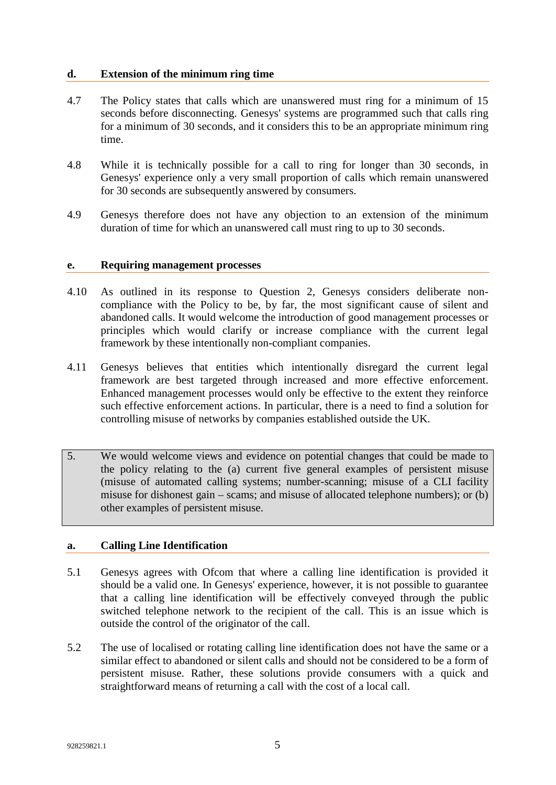#### **d. Extension of the minimum ring time**

- 4.7 The Policy states that calls which are unanswered must ring for a minimum of 15 seconds before disconnecting. Genesys' systems are programmed such that calls ring for a minimum of 30 seconds, and it considers this to be an appropriate minimum ring time.
- 4.8 While it is technically possible for a call to ring for longer than 30 seconds, in Genesys' experience only a very small proportion of calls which remain unanswered for 30 seconds are subsequently answered by consumers.
- 4.9 Genesys therefore does not have any objection to an extension of the minimum duration of time for which an unanswered call must ring to up to 30 seconds.

#### **e. Requiring management processes**

- 4.10 As outlined in its response to Question 2, Genesys considers deliberate noncompliance with the Policy to be, by far, the most significant cause of silent and abandoned calls. It would welcome the introduction of good management processes or principles which would clarify or increase compliance with the current legal framework by these intentionally non-compliant companies.
- 4.11 Genesys believes that entities which intentionally disregard the current legal framework are best targeted through increased and more effective enforcement. Enhanced management processes would only be effective to the extent they reinforce such effective enforcement actions. In particular, there is a need to find a solution for controlling misuse of networks by companies established outside the UK.
- 5. We would welcome views and evidence on potential changes that could be made to the policy relating to the (a) current five general examples of persistent misuse (misuse of automated calling systems; number-scanning; misuse of a CLI facility misuse for dishonest gain – scams; and misuse of allocated telephone numbers); or (b) other examples of persistent misuse.

# **a. Calling Line Identification**

- 5.1 Genesys agrees with Ofcom that where a calling line identification is provided it should be a valid one. In Genesys' experience, however, it is not possible to guarantee that a calling line identification will be effectively conveyed through the public switched telephone network to the recipient of the call. This is an issue which is outside the control of the originator of the call.
- 5.2 The use of localised or rotating calling line identification does not have the same or a similar effect to abandoned or silent calls and should not be considered to be a form of persistent misuse. Rather, these solutions provide consumers with a quick and straightforward means of returning a call with the cost of a local call.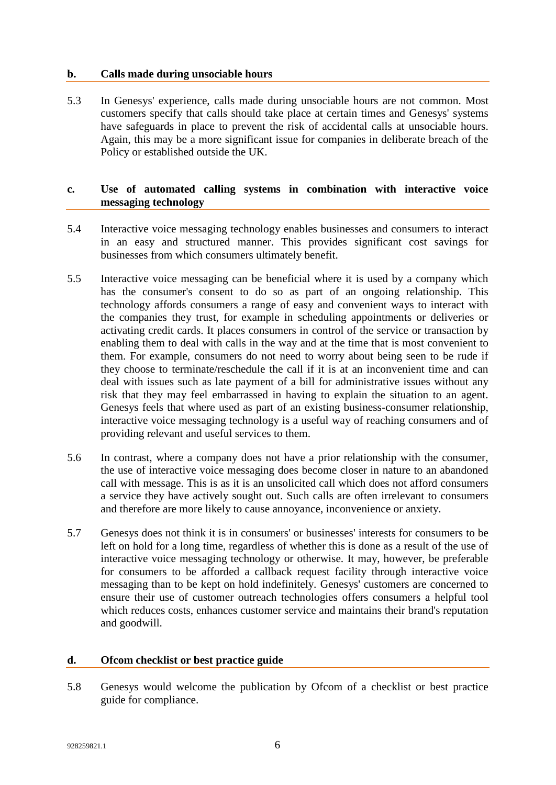#### **b. Calls made during unsociable hours**

5.3 In Genesys' experience, calls made during unsociable hours are not common. Most customers specify that calls should take place at certain times and Genesys' systems have safeguards in place to prevent the risk of accidental calls at unsociable hours. Again, this may be a more significant issue for companies in deliberate breach of the Policy or established outside the UK.

## **c. Use of automated calling systems in combination with interactive voice messaging technology**

- 5.4 Interactive voice messaging technology enables businesses and consumers to interact in an easy and structured manner. This provides significant cost savings for businesses from which consumers ultimately benefit.
- 5.5 Interactive voice messaging can be beneficial where it is used by a company which has the consumer's consent to do so as part of an ongoing relationship. This technology affords consumers a range of easy and convenient ways to interact with the companies they trust, for example in scheduling appointments or deliveries or activating credit cards. It places consumers in control of the service or transaction by enabling them to deal with calls in the way and at the time that is most convenient to them. For example, consumers do not need to worry about being seen to be rude if they choose to terminate/reschedule the call if it is at an inconvenient time and can deal with issues such as late payment of a bill for administrative issues without any risk that they may feel embarrassed in having to explain the situation to an agent. Genesys feels that where used as part of an existing business-consumer relationship, interactive voice messaging technology is a useful way of reaching consumers and of providing relevant and useful services to them.
- 5.6 In contrast, where a company does not have a prior relationship with the consumer, the use of interactive voice messaging does become closer in nature to an abandoned call with message. This is as it is an unsolicited call which does not afford consumers a service they have actively sought out. Such calls are often irrelevant to consumers and therefore are more likely to cause annoyance, inconvenience or anxiety.
- 5.7 Genesys does not think it is in consumers' or businesses' interests for consumers to be left on hold for a long time, regardless of whether this is done as a result of the use of interactive voice messaging technology or otherwise. It may, however, be preferable for consumers to be afforded a callback request facility through interactive voice messaging than to be kept on hold indefinitely. Genesys' customers are concerned to ensure their use of customer outreach technologies offers consumers a helpful tool which reduces costs, enhances customer service and maintains their brand's reputation and goodwill.

### **d. Ofcom checklist or best practice guide**

5.8 Genesys would welcome the publication by Ofcom of a checklist or best practice guide for compliance.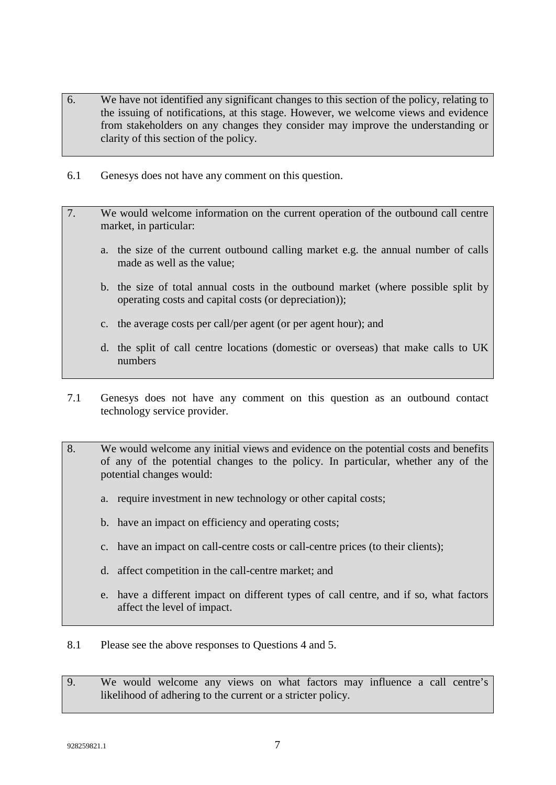- 6. We have not identified any significant changes to this section of the policy, relating to the issuing of notifications, at this stage. However, we welcome views and evidence from stakeholders on any changes they consider may improve the understanding or clarity of this section of the policy.
- 6.1 Genesys does not have any comment on this question.
- 7. We would welcome information on the current operation of the outbound call centre market, in particular:
	- a. the size of the current outbound calling market e.g. the annual number of calls made as well as the value;
	- b. the size of total annual costs in the outbound market (where possible split by operating costs and capital costs (or depreciation));
	- c. the average costs per call/per agent (or per agent hour); and
	- d. the split of call centre locations (domestic or overseas) that make calls to UK numbers
- 7.1 Genesys does not have any comment on this question as an outbound contact technology service provider.
- 8. We would welcome any initial views and evidence on the potential costs and benefits of any of the potential changes to the policy. In particular, whether any of the potential changes would:
	- a. require investment in new technology or other capital costs;
	- b. have an impact on efficiency and operating costs;
	- c. have an impact on call-centre costs or call-centre prices (to their clients);
	- d. affect competition in the call-centre market; and
	- e. have a different impact on different types of call centre, and if so, what factors affect the level of impact.
- 8.1 Please see the above responses to Questions 4 and 5.
- 9. We would welcome any views on what factors may influence a call centre's likelihood of adhering to the current or a stricter policy.